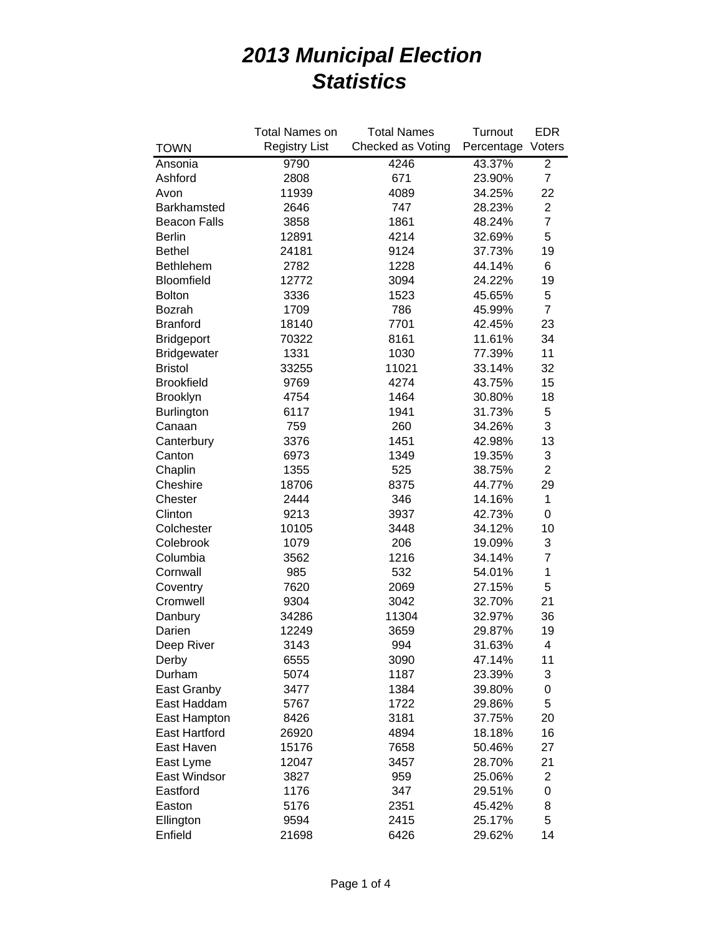|                           | <b>Total Names on</b> | <b>Total Names</b> | Turnout    | <b>EDR</b>     |
|---------------------------|-----------------------|--------------------|------------|----------------|
| <b>TOWN</b>               | <b>Registry List</b>  | Checked as Voting  | Percentage | Voters         |
| Ansonia                   | 9790<br>4246          |                    | 43.37%     | $\overline{2}$ |
| Ashford                   | 2808                  | 671                | 23.90%     | $\overline{7}$ |
| Avon                      | 11939                 | 4089               |            | 22             |
| Barkhamsted               | 2646                  | 747                |            | $\mathbf{2}$   |
| <b>Beacon Falls</b>       | 3858                  | 1861               |            | $\overline{7}$ |
| <b>Berlin</b>             | 12891                 | 4214               | 32.69%     | 5              |
| <b>Bethel</b>             | 24181                 | 9124               | 37.73%     | 19             |
| Bethlehem                 | 2782                  | 1228               | 44.14%     | 6              |
| Bloomfield                | 12772                 | 3094               | 24.22%     | 19             |
| <b>Bolton</b>             | 3336                  | 1523               | 45.65%     | 5              |
| Bozrah                    | 1709                  | 786                | 45.99%     | $\overline{7}$ |
| <b>Branford</b>           | 18140                 | 7701               | 42.45%     | 23             |
| <b>Bridgeport</b>         | 70322                 | 8161               | 11.61%     | 34             |
| <b>Bridgewater</b>        | 1331                  | 1030               | 77.39%     | 11             |
| <b>Bristol</b>            | 33255                 | 11021              | 33.14%     | 32             |
| <b>Brookfield</b>         | 9769                  | 4274               | 43.75%     | 15             |
| Brooklyn                  | 4754                  | 1464               | 30.80%     | 18             |
| <b>Burlington</b>         | 6117                  | 1941               | 31.73%     | 5              |
| Canaan                    | 759                   | 260                | 34.26%     | 3              |
| Canterbury                | 3376                  | 1451               | 42.98%     | 13             |
| Canton                    | 6973                  | 1349               | 19.35%     | 3              |
| Chaplin                   | 1355                  | 525                | 38.75%     | $\overline{2}$ |
| Cheshire                  | 18706                 | 8375               | 44.77%     | 29             |
| Chester                   | 2444                  | 346                | 14.16%     | $\mathbf 1$    |
| Clinton                   | 9213                  | 3937               | 42.73%     | 0              |
| Colchester                | 10105                 | 3448               | 34.12%     | 10             |
| Colebrook                 | 1079                  | 206                | 19.09%     | 3              |
| Columbia                  | 3562                  | 1216               | 34.14%     | $\overline{7}$ |
| Cornwall                  | 985                   | 532                | 54.01%     | 1              |
| Coventry                  | 7620                  | 2069               | 27.15%     | 5              |
| Cromwell                  | 9304                  | 3042               | 32.70%     | 21             |
| Danbury                   | 34286                 | 11304              | 32.97%     | 36             |
| Darien                    | 12249                 | 3659               | 29.87%     | 19             |
| Deep River                | 3143                  | 994                | 31.63%     | 4              |
| Derby                     | 6555                  | 3090               | 47.14%     | 11             |
| Durham                    | 5074                  | 1187               | 23.39%     | 3              |
| East Granby               | 3477                  | 1384               | 39.80%     | 0              |
| East Haddam               | 5767                  | 1722               | 29.86%     | 5              |
| East Hampton              | 8426                  | 3181               | 37.75%     | 20             |
| <b>East Hartford</b>      |                       | 4894               | 18.18%     | 16             |
| East Haven                | 26920<br>15176        |                    | 50.46%     | 27             |
|                           |                       | 7658               |            |                |
| East Lyme<br>East Windsor | 12047                 | 3457               | 28.70%     | 21             |
|                           | 3827                  | 959                | 25.06%     | 2              |
| Eastford                  | 1176                  | 347                | 29.51%     | 0              |
| Easton                    | 5176                  | 2351               | 45.42%     | 8              |
| Ellington                 | 9594                  | 2415               | 25.17%     | 5              |
| Enfield                   | 21698                 | 6426               | 29.62%     | 14             |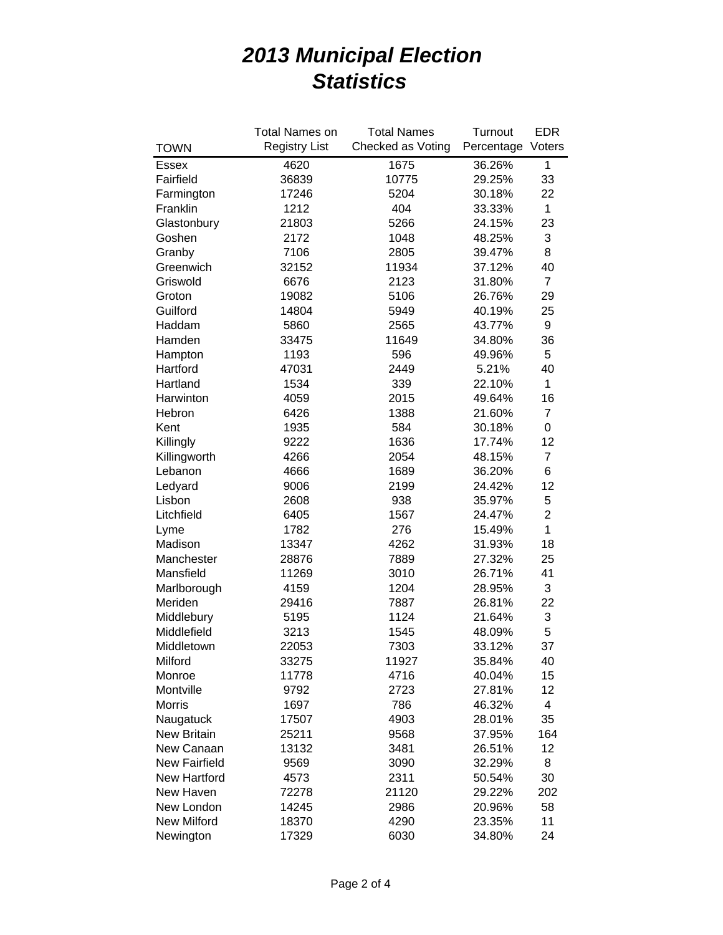|                      | <b>Total Names on</b> | <b>Total Names</b> | Turnout    | <b>EDR</b>     |
|----------------------|-----------------------|--------------------|------------|----------------|
| <b>TOWN</b>          | <b>Registry List</b>  | Checked as Voting  | Percentage | Voters         |
| Essex                | 4620                  | 1675               | 36.26%     | 1              |
| Fairfield            | 36839                 | 10775              | 29.25%     | 33             |
| Farmington           | 17246                 | 5204               | 30.18%     | 22             |
| Franklin             | 1212                  | 404                |            | $\mathbf{1}$   |
| Glastonbury          | 21803                 | 5266               | 24.15%     | 23             |
| Goshen               | 2172                  | 1048               | 48.25%     | 3              |
| Granby               | 7106                  | 2805               | 39.47%     | 8              |
| Greenwich            | 32152                 | 11934              | 37.12%     | 40             |
| Griswold             | 6676                  | 2123               | 31.80%     | $\overline{7}$ |
| Groton               | 19082                 | 5106               | 26.76%     | 29             |
| Guilford             | 14804                 | 5949               | 40.19%     | 25             |
| Haddam               | 5860                  | 2565               | 43.77%     | 9              |
| Hamden               | 33475                 | 11649              | 34.80%     | 36             |
| Hampton              | 1193                  | 596                | 49.96%     | 5              |
| Hartford             | 47031                 | 2449               | 5.21%      | 40             |
| Hartland             | 1534                  | 339                | 22.10%     | 1              |
| Harwinton            | 4059                  | 2015               | 49.64%     | 16             |
| Hebron               | 6426                  | 1388               | 21.60%     | $\overline{7}$ |
| Kent                 | 1935                  | 584                | 30.18%     | $\mathbf 0$    |
| Killingly            | 9222                  | 1636               | 17.74%     | 12             |
| Killingworth         | 4266                  | 2054               | 48.15%     | $\overline{7}$ |
| Lebanon              | 4666                  | 1689               | 36.20%     | 6              |
| Ledyard              | 9006                  | 2199               | 24.42%     | 12             |
| Lisbon               | 2608                  | 938                | 35.97%     | 5              |
| Litchfield           | 6405                  | 1567               | 24.47%     | $\overline{2}$ |
| Lyme                 | 1782                  | 276                | 15.49%     | $\mathbf{1}$   |
| Madison              | 13347                 | 4262               | 31.93%     | 18             |
| Manchester           | 28876                 | 7889               | 27.32%     | 25             |
| Mansfield            | 11269                 | 3010               | 26.71%     | 41             |
| Marlborough          | 4159                  | 1204               | 28.95%     | 3              |
| Meriden              | 29416                 | 7887               | 26.81%     | 22             |
| Middlebury           | 5195                  | 1124               | 21.64%     | 3              |
| Middlefield          | 3213                  | 1545               | 48.09%     | 5              |
| Middletown           | 22053                 | 7303               | 33.12%     | 37             |
| Milford              | 33275                 | 11927              | 35.84%     | 40             |
| Monroe               | 11778                 | 4716               | 40.04%     | 15             |
| Montville            | 9792                  | 2723               | 27.81%     | 12             |
| <b>Morris</b>        | 1697                  | 786                | 46.32%     | 4              |
| Naugatuck            | 17507                 | 4903               | 28.01%     | 35             |
| <b>New Britain</b>   | 25211                 | 9568               | 37.95%     | 164            |
| New Canaan           | 13132                 | 3481               | 26.51%     | 12             |
| <b>New Fairfield</b> | 9569                  | 3090               | 32.29%     | 8              |
| <b>New Hartford</b>  | 4573                  | 2311               | 50.54%     | 30             |
| New Haven            | 72278                 | 21120              | 29.22%     | 202            |
| New London           | 14245                 | 2986               | 20.96%     | 58             |
| <b>New Milford</b>   | 18370                 | 4290               | 23.35%     | 11             |
| Newington            | 17329                 | 6030               | 34.80%     | 24             |
|                      |                       |                    |            |                |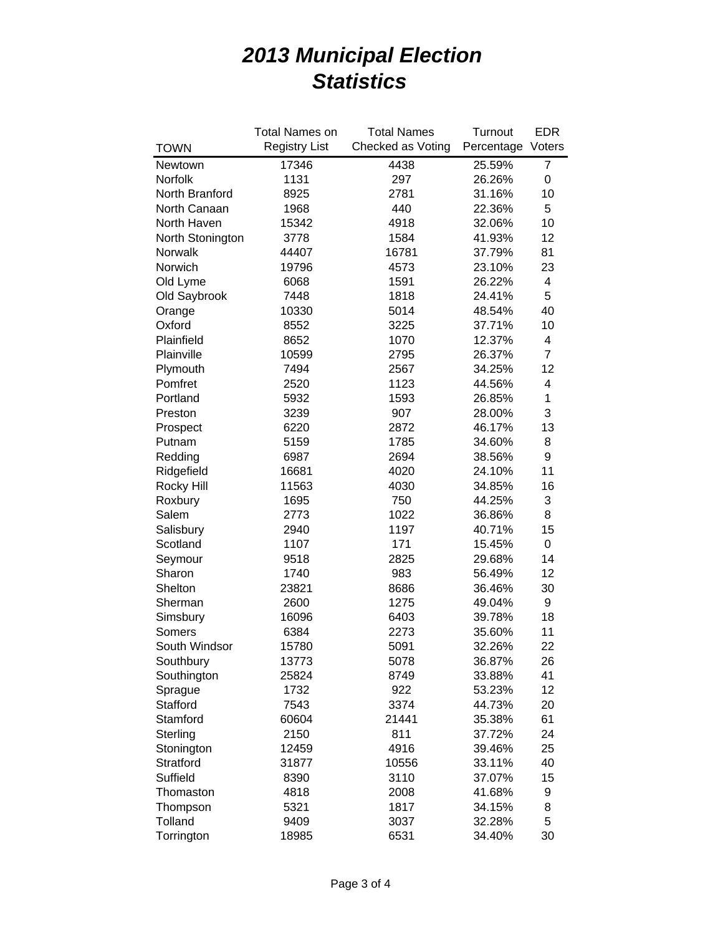|                            | <b>Total Names on</b> | <b>Total Names</b> | Turnout    | <b>EDR</b> |
|----------------------------|-----------------------|--------------------|------------|------------|
| <b>TOWN</b>                | <b>Registry List</b>  | Checked as Voting  | Percentage | Voters     |
| Newtown                    | 17346                 | 4438               | 25.59%     | 7          |
| Norfolk                    | 1131                  | 297                | 26.26%     | 0          |
| North Branford             | 8925<br>2781          |                    | 31.16%     | 10         |
| North Canaan               | 440<br>1968           |                    | 22.36%     | 5          |
| North Haven                | 15342                 | 4918               | 32.06%     | 10         |
| North Stonington           | 3778                  | 1584               | 41.93%     | 12         |
| Norwalk                    | 44407                 | 16781              | 37.79%     | 81         |
| Norwich                    | 19796                 | 4573               | 23.10%     | 23         |
| Old Lyme                   | 6068                  | 1591               | 26.22%     | 4          |
| Old Saybrook               | 7448                  | 1818               | 24.41%     | 5          |
| Orange                     | 10330                 | 5014               | 48.54%     | 40         |
| Oxford                     | 8552                  | 3225               | 37.71%     | 10         |
| Plainfield                 | 8652                  | 1070               | 12.37%     | 4          |
| Plainville                 | 10599                 | 2795               | 26.37%     | 7          |
| Plymouth                   | 7494                  | 2567               | 34.25%     | 12         |
| Pomfret                    | 2520                  | 1123               | 44.56%     | 4          |
| Portland                   | 5932                  | 1593               | 26.85%     | 1          |
| Preston                    | 3239                  | 907                | 28.00%     | 3          |
| Prospect                   | 6220                  | 2872               | 46.17%     | 13         |
| Putnam                     | 5159                  | 1785               | 34.60%     | 8          |
| Redding                    | 6987                  | 2694               | 38.56%     | 9          |
| Ridgefield                 | 16681                 | 4020               | 24.10%     | 11         |
| <b>Rocky Hill</b>          | 11563                 | 4030               | 34.85%     | 16         |
| Roxbury                    | 1695                  | 750                | 44.25%     | 3          |
| Salem                      | 2773                  | 1022               | 36.86%     | 8          |
| Salisbury                  | 2940                  | 1197               | 40.71%     | 15         |
| Scotland                   | 1107                  | 171                | 15.45%     | 0          |
| Seymour                    | 9518                  | 2825               | 29.68%     | 14         |
| Sharon                     | 1740                  | 983                | 56.49%     | 12         |
| Shelton                    | 23821                 | 8686               | 36.46%     | 30         |
| Sherman                    | 2600                  | 1275               | 49.04%     | 9          |
| Simsbury                   | 16096                 | 6403               | 39.78%     | 18         |
| Somers                     | 6384                  | 2273               | 35.60%     | 11         |
| South Windsor              | 15780                 | 5091               | 32.26%     | 22         |
|                            |                       |                    |            |            |
| Southbury                  | 13773                 | 5078<br>8749       | 36.87%     | 26<br>41   |
| Southington                | 25824                 |                    | 33.88%     | 12         |
| Sprague<br><b>Stafford</b> | 1732<br>7543          | 922                | 53.23%     |            |
|                            |                       | 3374               | 44.73%     | 20         |
| Stamford                   | 60604                 | 21441              | 35.38%     | 61         |
| Sterling                   | 2150                  | 811                | 37.72%     | 24         |
| Stonington                 | 12459                 | 4916               | 39.46%     | 25         |
| Stratford                  | 31877                 | 10556              | 33.11%     | 40         |
| Suffield                   | 8390                  | 3110               | 37.07%     | 15         |
| Thomaston                  | 4818                  | 2008               | 41.68%     | 9          |
| Thompson                   | 5321                  | 1817               | 34.15%     | 8          |
| Tolland                    | 9409                  | 3037               | 32.28%     | 5          |
| Torrington                 | 18985                 | 6531               | 34.40%     | 30         |